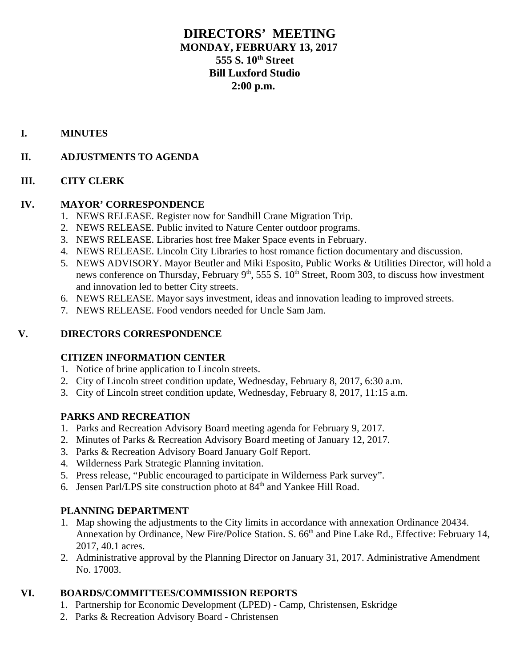# **DIRECTORS' MEETING MONDAY, FEBRUARY 13, 2017 555 S. 10th Street Bill Luxford Studio 2:00 p.m.**

## **I. MINUTES**

## **II. ADJUSTMENTS TO AGENDA**

#### **III. CITY CLERK**

## **IV. MAYOR' CORRESPONDENCE**

- 1. NEWS RELEASE. Register now for Sandhill Crane Migration Trip.
- 2. NEWS RELEASE. Public invited to Nature Center outdoor programs.
- 3. NEWS RELEASE. Libraries host free Maker Space events in February.
- 4. NEWS RELEASE. Lincoln City Libraries to host romance fiction documentary and discussion.
- 5. NEWS ADVISORY. Mayor Beutler and Miki Esposito, Public Works & Utilities Director, will hold a news conference on Thursday, February  $9<sup>th</sup>$ , 555 S.  $10<sup>th</sup>$  Street, Room 303, to discuss how investment and innovation led to better City streets.
- 6. NEWS RELEASE. Mayor says investment, ideas and innovation leading to improved streets.
- 7. NEWS RELEASE. Food vendors needed for Uncle Sam Jam.

## **V. DIRECTORS CORRESPONDENCE**

## **CITIZEN INFORMATION CENTER**

- 1. Notice of brine application to Lincoln streets.
- 2. City of Lincoln street condition update, Wednesday, February 8, 2017, 6:30 a.m.
- 3. City of Lincoln street condition update, Wednesday, February 8, 2017, 11:15 a.m.

## **PARKS AND RECREATION**

- 1. Parks and Recreation Advisory Board meeting agenda for February 9, 2017.
- 2. Minutes of Parks & Recreation Advisory Board meeting of January 12, 2017.
- 3. Parks & Recreation Advisory Board January Golf Report.
- 4. Wilderness Park Strategic Planning invitation.
- 5. Press release, "Public encouraged to participate in Wilderness Park survey".
- 6. Jensen Parl/LPS site construction photo at  $84<sup>th</sup>$  and Yankee Hill Road.

#### **PLANNING DEPARTMENT**

- 1. Map showing the adjustments to the City limits in accordance with annexation Ordinance 20434. Annexation by Ordinance, New Fire/Police Station. S. 66<sup>th</sup> and Pine Lake Rd., Effective: February 14, 2017, 40.1 acres.
- 2. Administrative approval by the Planning Director on January 31, 2017. Administrative Amendment No. 17003.

## **VI. BOARDS/COMMITTEES/COMMISSION REPORTS**

- 1. Partnership for Economic Development (LPED) Camp, Christensen, Eskridge
- 2. Parks & Recreation Advisory Board Christensen